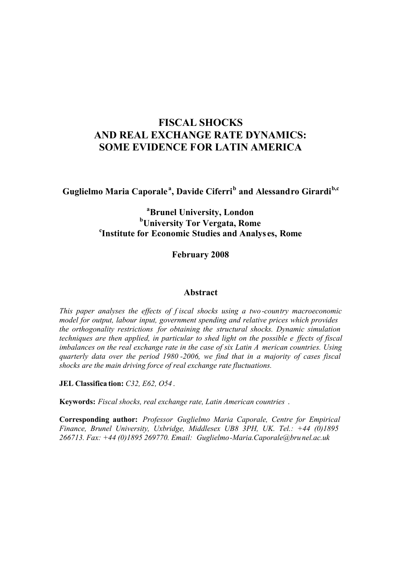# **FISCAL SHOCKS AND REAL EXCHANGE RATE DYNAMICS: SOME EVIDENCE FOR LATIN AMERICA**

**Guglielmo Maria Caporale <sup>a</sup> , Davide Ciferri<sup>b</sup> and Alessandro Girardib,c**

# **<sup>a</sup>Brunel University, London <sup>b</sup>University Tor Vergata, Rome c Institute for Economic Studies and Analys es, Rome**

**February 2008**

# **Abstract**

*This paper analyses the effects of f iscal shocks using a two -country macroeconomic model for output, labour input, government spending and relative prices which provides the orthogonality restrictions for obtaining the structural shocks. Dynamic simulation techniques are then applied, in particular to shed light on the possible e ffects of fiscal imbalances on the real exchange rate in the case of six Latin A merican countries. Using quarterly data over the period 1980 -2006, we find that in a majority of cases fiscal shocks are the main driving force of real exchange rate fluctuations.*

**JEL Classifica tion:** *C32, E62, O54* .

**Keywords:** *Fiscal shocks, real exchange rate, Latin American countries* .

**Corresponding author:** *Professor Guglielmo Maria Caporale, Centre for Empirical Finance, Brunel University, Uxbridge, Middlesex UB8 3PH, UK. Tel.: +44 (0)1895 266713. Fax: +44 (0)1895 269770. Email: Guglielmo-Maria.Caporale@bru nel.ac.uk*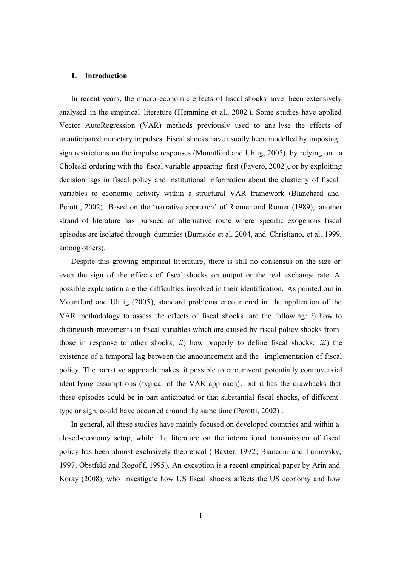## **1. Introduction**

In recent years, the macro-economic effects of fiscal shocks have been extensively analysed in the empirical literature (Hemming et al., 2002 ). Some studies have applied Vector AutoRegression (VAR) methods previously used to ana lyse the effects of unanticipated monetary impulses. Fiscal shocks have usually been modelled by imposing sign restrictions on the impulse responses (Mountford and Uhlig, 2005), by relying on a Choleski ordering with the fiscal variable appearing first (Favero, 2002), or by exploiting decision lags in fiscal policy and institutional information about the elasticity of fiscal variables to economic activity within a structural VAR framework (Blanchard and Perotti, 2002). Based on the 'narrative approach' of R omer and Romer (1989), another strand of literature has pursued an alternative route where specific exogenous fiscal episodes are isolated through dummies (Burnside et al. 2004, and Christiano, et al. 1999, among others).

Despite this growing empirical lit erature, there is still no consensus on the size or even the sign of the effects of fiscal shocks on output or the real exchange rate. A possible explanation are the difficulties involved in their identification. As pointed out in Mountford and Uh lig (2005), standard problems encountered in the application of the VAR methodology to assess the effects of fiscal shocks are the following: *i*) how to distinguish movements in fiscal variables which are caused by fiscal policy shocks from those in response to other shocks; *ii*) how properly to define fiscal shocks; *iii*) the existence of a temporal lag between the announcement and the implementation of fiscal policy. The narrative approach makes it possible to circumvent potentially controversial identifying assumpti ons (typical of the VAR approach), but it has the drawbacks that these episodes could be in part anticipated or that substantial fiscal shocks, of different type or sign, could have occurred around the same time (Perotti, 2002) .

In general, all these studi es have mainly focused on developed countries and within a closed-economy setup, while the literature on the international transmission of fiscal policy has been almost exclusively theoretical ( Baxter, 1992; Bianconi and Turnovsky, 1997; Obstfeld and Rogof f, 1995). An exception is a recent empirical paper by Arin and Koray (2008), who investigate how US fiscal shocks affects the US economy and how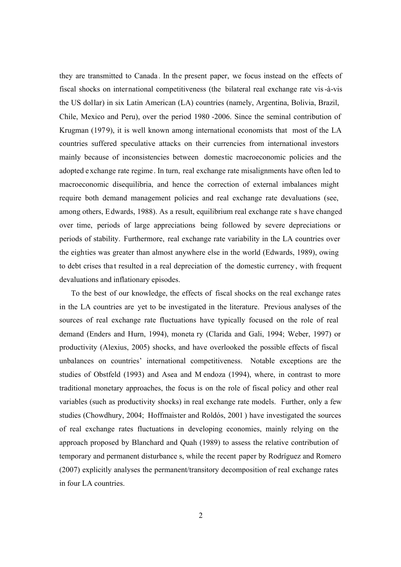they are transmitted to Canada . In the present paper, we focus instead on the effects of fiscal shocks on international competitiveness (the bilateral real exchange rate vis-à-vis the US dollar) in six Latin American (LA) countries (namely, Argentina, Bolivia, Brazil, Chile, Mexico and Peru), over the period 1980 -2006. Since the seminal contribution of Krugman (1979), it is well known among international economists that most of the LA countries suffered speculative attacks on their currencies from international investors mainly because of inconsistencies between domestic macroeconomic policies and the adopted exchange rate regime . In turn, real exchange rate misalignments have often led to macroeconomic disequilibria, and hence the correction of external imbalances might require both demand management policies and real exchange rate devaluations (see, among others, Edwards, 1988). As a result, equilibrium real exchange rate s have changed over time, periods of large appreciations being followed by severe depreciations or periods of stability. Furthermore, real exchange rate variability in the LA countries over the eighties was greater than almost anywhere else in the world (Edwards, 1989), owing to debt crises tha t resulted in a real depreciation of the domestic currency , with frequent devaluations and inflationary episodes.

To the best of our knowledge, the effects of fiscal shocks on the real exchange rates in the LA countries are yet to be investigated in the literature. Previous analyses of the sources of real exchange rate fluctuations have typically focused on the role of real demand (Enders and Hurn, 1994), moneta ry (Clarida and Gali, 1994; Weber, 1997) or productivity (Alexius, 2005) shocks, and have overlooked the possible effects of fiscal unbalances on countries' international competitiveness. Notable exceptions are the studies of Obstfeld (1993) and Asea and M endoza (1994), where, in contrast to more traditional monetary approaches, the focus is on the role of fiscal policy and other real variables (such as productivity shocks) in real exchange rate models. Further, only a few studies (Chowdhury, 2004; Hoffmaister and Roldós, 2001 ) have investigated the sources of real exchange rates fluctuations in developing economies, mainly relying on the approach proposed by Blanchard and Quah (1989) to assess the relative contribution of temporary and permanent disturbance s, while the recent paper by Rodríguez and Romero (2007) explicitly analyses the permanent/transitory decomposition of real exchange rates in four LA countries.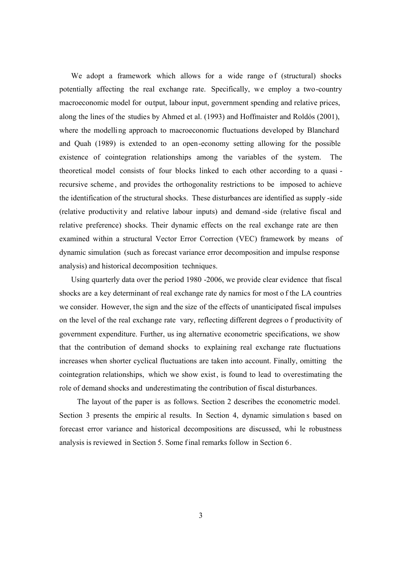We adopt a framework which allows for a wide range of (structural) shocks potentially affecting the real exchange rate. Specifically, we employ a two-country macroeconomic model for output, labour input, government spending and relative prices, along the lines of the studies by Ahmed et al. (1993) and Hoffmaister and Roldós (2001), where the modelling approach to macroeconomic fluctuations developed by Blanchard and Quah (1989) is extended to an open-economy setting allowing for the possible existence of cointegration relationships among the variables of the system. The theoretical model consists of four blocks linked to each other according to a quasi recursive scheme , and provides the orthogonality restrictions to be imposed to achieve the identification of the structural shocks. These disturbances are identified as supply -side (relative productivit y and relative labour inputs) and demand -side (relative fiscal and relative preference) shocks. Their dynamic effects on the real exchange rate are then examined within a structural Vector Error Correction (VEC) framework by means of dynamic simulation (such as forecast variance error decomposition and impulse response analysis) and historical decomposition techniques.

Using quarterly data over the period 1980 -2006, we provide clear evidence that fiscal shocks are a key determinant of real exchange rate dy namics for most o f the LA countries we consider. However, the sign and the size of the effects of unanticipated fiscal impulses on the level of the real exchange rate vary, reflecting different degrees o f productivity of government expenditure. Further, us ing alternative econometric specifications, we show that the contribution of demand shocks to explaining real exchange rate fluctuations increases when shorter cyclical fluctuations are taken into account. Finally, omitting the cointegration relationships, which we show exist, is found to lead to overestimating the role of demand shocks and underestimating the contribution of fiscal disturbances.

The layout of the paper is as follows. Section 2 describes the econometric model. Section 3 presents the empiric al results. In Section 4, dynamic simulation s based on forecast error variance and historical decompositions are discussed, whi le robustness analysis is reviewed in Section 5. Some final remarks follow in Section 6.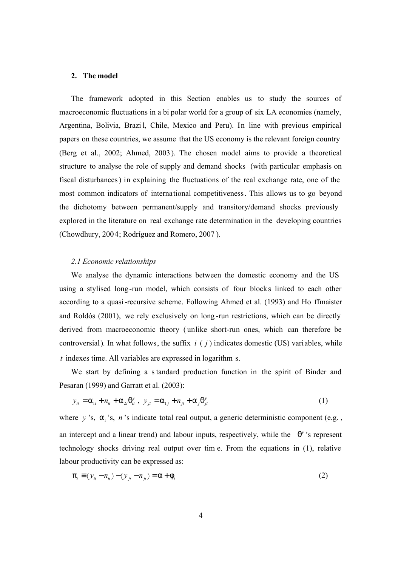#### **2. The model**

The framework adopted in this Section enables us to study the sources of macroeconomic fluctuations in a bi polar world for a group of six LA economies (namely, Argentina, Bolivia, Brazi l, Chile, Mexico and Peru). In line with previous empirical papers on these countries, we assume that the US economy is the relevant foreign country (Berg et al., 2002; Ahmed, 2003). The chosen model aims to provide a theoretical structure to analyse the role of supply and demand shocks (with particular emphasis on fiscal disturbances) in explaining the fluctuations of the real exchange rate, one of the most common indicators of international competitiveness. This allows us to go beyond the dichotomy between permanent/supply and transitory/demand shocks previously explored in the literature on real exchange rate determination in the developing countries (Chowdhury, 2004; Rodríguez and Romero, 2007 ).

## *2.1 Economic relationships*

We analyse the dynamic interactions between the domestic economy and the US using a stylised long-run model, which consists of four blocks linked to each other according to a quasi-recursive scheme. Following Ahmed et al. (1993) and Ho ffmaister and Roldós (2001), we rely exclusively on long -run restrictions, which can be directly derived from macroeconomic theory ( unlike short-run ones, which can therefore be controversial). In what follows, the suffix *i* ( *j* ) indicates domestic (US) variables, while *t* indexes time. All variables are expressed in logarithm s.

We start by defining a s tandard production function in the spirit of Binder and Pesaran (1999) and Garratt et al. (2003):

$$
y_{it} = \alpha_{1i} + n_{it} + \alpha_{2i}\theta_{it}^{y}, \quad y_{jt} = \alpha_{1j} + n_{jt} + \alpha_{j}\theta_{jt}^{y}
$$
 (1)

where  $y$ 's,  $\alpha_1$ 's,  $n$ 's indicate total real output, a generic deterministic component (e.g., an intercept and a linear trend) and labour inputs, respectively, while the  $\theta$ <sup>*y*</sup>'s represent technology shocks driving real output over tim e. From the equations in (1), relative labour productivity can be expressed as:

$$
\pi_t \equiv (y_{it} - n_{it}) - (y_{jt} - n_{jt}) = \alpha + \phi_t \tag{2}
$$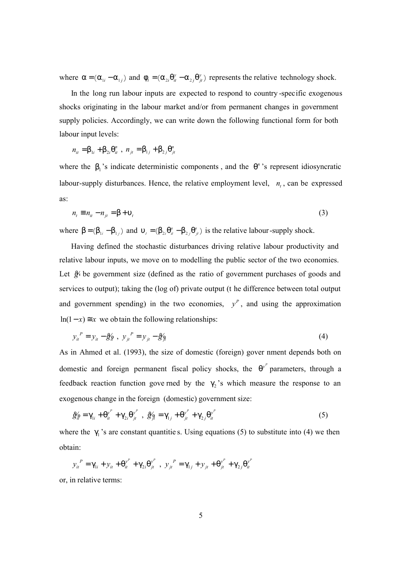where  $\alpha = (\alpha_{1i} - \alpha_{1j})$  and  $\phi_t = (\alpha_{2i} \theta_{it}^y - \alpha_{2j} \theta_{jt}^y)$  represents the relative technology shock.

In the long run labour inputs are expected to respond to country -specific exogenous shocks originating in the labour market and/or from permanent changes in government supply policies. Accordingly, we can write down the following functional form for both labour input levels:

 $1i$   $\cdot$  P<sub>2</sub>  $n_{it} = \beta_{1i} + \beta_{2i}\theta_{it}^{n}$ ,  $n_{jt} = \beta_{1j} + \beta_{2j}\theta_{jt}^{n}$ 

where the  $\beta_1$ 's indicate deterministic components, and the  $\theta^n$ 's represent idiosyncratic labour-supply disturbances. Hence, the relative employment level,  $n_t$ , can be expressed as:

$$
n_t \equiv n_{tt} - n_{jt} = \beta + \upsilon_t \tag{3}
$$

where  $\beta = (\beta_{1i} - \beta_{1i})$  and  $\nu_i = (\beta_{2i} \theta_i - \beta_{2i} \theta_i)$  is the relative labour-supply shock.

Having defined the stochastic disturbances driving relative labour productivity and relative labour inputs, we move on to modelling the public sector of the two economies. Let  $\mathcal{L}$  be government size (defined as the ratio of government purchases of goods and services to output); taking the (log of) private output (t he difference between total output and government spending) in the two economies,  $y^P$ , and using the approximation ln(1-x)  $\equiv$  *x* we obtain the following relationships:

$$
y_{it}^{P} = y_{it} - \mathcal{G}'_{it}, \quad y_{jt}^{P} = y_{jt} - \mathcal{G}'_{it} \tag{4}
$$

As in Ahmed et al. (1993), the size of domestic (foreign) gover nment depends both on domestic and foreign permanent fiscal policy shocks, the  $\theta^{y^p}$  parameters, through a feedback reaction function gove rned by the  $\gamma_2$ 's which measure the response to an exogenous change in the foreign (domestic) government size:

$$
\mathcal{L}_{il} = \gamma_{1i} + \theta_{it}^{y^P} + \gamma_{2i} \theta_{jt}^{y^P}, \ \mathcal{L}_{il} = \gamma_{1j} + \theta_{jt}^{y^P} + \gamma_{2j} \theta_{it}^{y^P}
$$
(5)

where the  $\gamma_1$ 's are constant quantities. Using equations (5) to substitute into (4) we then obtain:

$$
y_{it}^{P} = \gamma_{1i} + y_{it} + \theta_{it}^{y^{P}} + \gamma_{2i}\theta_{jt}^{y^{P}} , y_{it}^{P} = \gamma_{1j} + y_{it} + \theta_{jt}^{y^{P}} + \gamma_{2j}\theta_{it}^{y^{P}}
$$

or, in relative terms: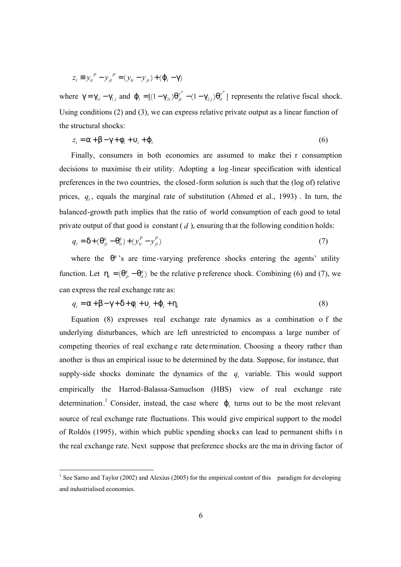$$
z_t \equiv y_{it}^P - y_{jt}^P = (y_{it} - y_{jt}) + (\varphi_t - \gamma)
$$

where  $\gamma = \gamma_{1i} - \gamma_{1j}$  and  $\varphi_t = [(1 - \gamma_{2i})\theta_{jt}^{y^p} - (1 - \gamma_{2j})\theta_{it}^{y^p}]$  represents the relative fiscal shock. Using conditions (2) and (3), we can express relative private output as a linear function of the structural shocks:

$$
z_t = \alpha + \beta - \gamma + \phi_t + \upsilon_t + \phi_t \tag{6}
$$

Finally, consumers in both economies are assumed to make thei r consumption decisions to maximise th eir utility. Adopting a log -linear specification with identical preferences in the two countries, the closed-form solution is such that the (log of) relative prices,  $q_t$ , equals the marginal rate of substitution (Ahmed et al., 1993). In turn, the balanced-growth path implies that the ratio of world consumption of each good to total private output of that good is constant ( *d* ), ensuring that the following condition holds:

$$
q_t = \delta + (\theta_{jt}^q - \theta_{it}^q) + (y_{it}^p - y_{jt}^p)
$$
\n<sup>(7)</sup>

where the  $\theta^q$ 's are time-varying preference shocks entering the agents' utility function. Let  $\eta_t = (\theta_{it}^q - \theta_{it}^q)$  be the relative p reference shock. Combining (6) and (7), we can express the real exchange rate as:

$$
q_t = \alpha + \beta - \gamma + \delta + \phi_t + \upsilon_t + \varphi_t + \eta_t \tag{8}
$$

Equation (8) expresses real exchange rate dynamics as a combination o f the underlying disturbances, which are left unrestricted to encompass a large number of competing theories of real exchang e rate dete rmination. Choosing a theory rather than another is thus an empirical issue to be determined by the data. Suppose, for instance, that supply-side shocks dominate the dynamics of the  $q_t$  variable. This would support empirically the Harrod-Balassa-Samuelson (HBS) view of real exchange rate determination.<sup>1</sup> Consider, instead, the case where  $\varphi_t$  turns out to be the most relevant source of real exchange rate fluctuations. This would give empirical support to the model of Roldós (1995), within which public spending shocks can lead to permanent shifts i n the real exchange rate. Next suppose that preference shocks are the ma in driving factor of

-

<sup>&</sup>lt;sup>1</sup> See Sarno and Taylor (2002) and Alexius (2005) for the empirical content of this paradigm for developing and industrialised economies.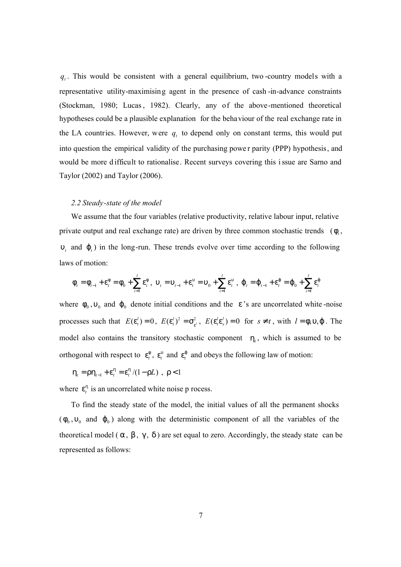$q_t$ . This would be consistent with a general equilibrium, two -country models with a representative utility-maximising agent in the presence of cash -in-advance constraints (Stockman, 1980; Lucas, 1982). Clearly, any of the above-mentioned theoretical hypotheses could be a plausible explanation for the behaviour of the real exchange rate in the LA countries. However, were  $q_t$  to depend only on constant terms, this would put into question the empirical validity of the purchasing powe r parity (PPP) hypothesis, and would be more d ifficult to rationalise. Recent surveys covering this issue are Sarno and Taylor (2002) and Taylor (2006).

## *2.2 Steady-state of the model*

We assume that the four variables (relative productivity, relative labour input, relative private output and real exchange rate) are driven by three common stochastic trends  $(\phi_t)$ ,  $υ<sub>t</sub>$  and  $φ<sub>t</sub>$ ) in the long-run. These trends evolve over time according to the following laws of motion:

$$
\phi_{t} = \phi_{t-1} + \varepsilon_{t}^{\phi} = \phi_{0} + \sum_{i=1}^{t} \varepsilon_{i}^{\phi}, \quad\n \upsilon_{t} = \upsilon_{t-1} + \varepsilon_{t}^{\upsilon} = \upsilon_{0} + \sum_{i=1}^{t} \varepsilon_{i}^{\upsilon}, \quad\n \phi_{t} = \phi_{t-1} + \varepsilon_{t}^{\phi} = \phi_{0} + \sum_{i=1}^{t} \varepsilon_{i}^{\phi}
$$

where  $\phi_0$ ,  $v_0$  and  $\phi_0$  denote initial conditions and the  $\varepsilon$ 's are uncorrelated white-noise processes such that  $E(\varepsilon_i^l) = 0$ ,  $E(\varepsilon_i^l)^2 = \sigma_{\varepsilon_i^l}^2$ ,  $E(\varepsilon_i^l \varepsilon_s^l) = 0$  for  $s \neq t$ , with  $l = \phi, \upsilon, \phi$ . The model also contains the transitory stochastic component  $\eta_t$ , which is assumed to be orthogonal with respect to  $\epsilon_t^{\phi}$ ,  $\epsilon_t^{\phi}$  and  $\epsilon_t^{\phi}$  and obeys the following law of motion:

$$
\eta_t = \rho \eta_{t-1} + \varepsilon_t^{\eta} = \varepsilon_t^{\eta} / (1 - \rho L) , \ \rho < 1
$$

where  $\boldsymbol{\varepsilon}_t^{\eta}$  is an uncorrelated white noise p rocess.

To find the steady state of the model, the initial values of all the permanent shocks  $(\phi_0, \nu_0)$  and  $\phi_0$ ) along with the deterministic component of all the variables of the theoretical model ( $\alpha$ ,  $\beta$ ,  $\gamma$ ,  $\delta$ ) are set equal to zero. Accordingly, the steady state can be represented as follows: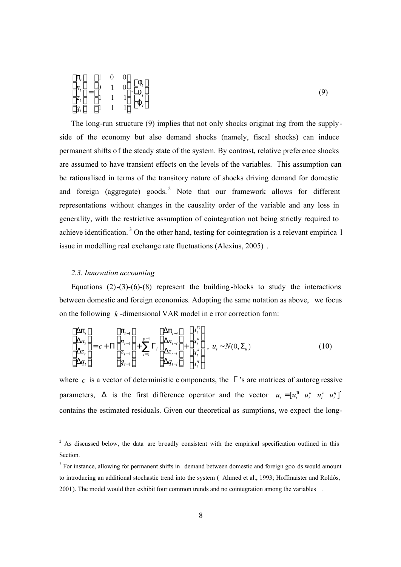$$
\begin{bmatrix} \pi_t \\ n_t \\ z_t \\ q_t \end{bmatrix} = \begin{bmatrix} 1 & 0 & 0 \\ 0 & 1 & 0 \\ 1 & 1 & 1 \\ 1 & 1 & 1 \end{bmatrix} \begin{bmatrix} \phi_t \\ \mathbf{v}_t \\ \varphi_t \end{bmatrix}
$$
\n(9)

The long-run structure (9) implies that not only shocks originat ing from the supplyside of the economy but also demand shocks (namely, fiscal shocks) can induce permanent shifts o f the steady state of the system. By contrast, relative preference shocks are assumed to have transient effects on the levels of the variables. This assumption can be rationalised in terms of the transitory nature of shocks driving demand for domestic and foreign (aggregate) goods.<sup>2</sup> Note that our framework allows for different representations without changes in the causality order of the variable and any loss in generality, with the restrictive assumption of cointegration not being strictly required to achieve identification.<sup>3</sup> On the other hand, testing for cointegration is a relevant empirica 1 issue in modelling real exchange rate fluctuations (Alexius, 2005) .

# *2.3. Innovation accounting*

Equations  $(2)-(3)-(6)-(8)$  represent the building-blocks to study the interactions between domestic and foreign economies. Adopting the same notation as above, we focus on the following *k* -dimensional VAR model in e rror correction form:

$$
\begin{bmatrix}\n\Delta \pi_t \\
\Delta n_t \\
\Delta z_t \\
\Delta q_t\n\end{bmatrix} = c + \Pi \begin{bmatrix}\n\pi_{t-1} \\
n_{t-1} \\
z_{t-1} \\
q_{t-1}\n\end{bmatrix} + \sum_{i=1}^{p-1} \Gamma_i \begin{bmatrix}\n\Delta \pi_{t-i} \\
\Delta n_{t-i} \\
\Delta z_{t-i} \\
\Delta q_{t-i}\n\end{bmatrix} + \begin{bmatrix}\nu_t^{\pi} \\
u_t^n \\
u_t^{\pi} \\
u_t^q\n\end{bmatrix}, \ u_t \sim N(0, \Sigma_u)
$$
\n(10)

where *c* is a vector of deterministic c omponents, the  $\Gamma$ 's are matrices of autoreg ressive parameters,  $\Delta$  is the first difference operator and the vector  $u_t = [u_t^{\pi} \ u_t^{\pi} \ u_t^{\pi} \ u_t^{\pi}]$  $u_t = \begin{bmatrix} u_t^{\pi} & u_t^{\pi} & u_t^{\pi} & u_t^{\pi} \end{bmatrix}$ contains the estimated residuals. Given our theoretical as sumptions, we expect the long-

<sup>&</sup>lt;sup>2</sup> As discussed below, the data are broadly consistent with the empirical specification outlined in this Section.

<sup>&</sup>lt;sup>3</sup> For instance, allowing for permanent shifts in demand between domestic and foreign goo ds would amount to introducing an additional stochastic trend into the system ( Ahmed et al., 1993; Hoffmaister and Roldós, 2001). The model would then exhibit four common trends and no cointegration among the variables .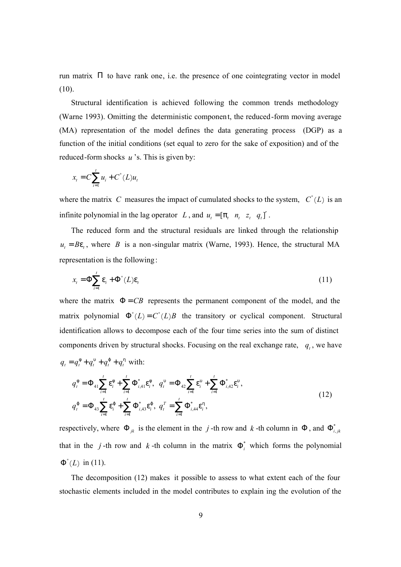run matrix Π to have rank one, i.e. the presence of one cointegrating vector in model (10).

Structural identification is achieved following the common trends methodology (Warne 1993). Omitting the deterministic component, the reduced-form moving average (MA) representation of the model defines the data generating process (DGP) as a function of the initial conditions (set equal to zero for the sake of exposition) and of the reduced-form shocks *u* 's. This is given by:

$$
x_t = C \sum_{i=1}^t u_i + C^*(L)u_t
$$

where the matrix *C* measures the impact of cumulated shocks to the system,  $C^*(L)$  is an infinite polynomial in the lag operator *L*, and  $u_t = [\pi_t \quad n_t \quad z_t \quad q_t]'$ .

The reduced form and the structural residuals are linked through the relationship  $u_t = B\varepsilon_t$ , where *B* is a non-singular matrix (Warne, 1993). Hence, the structural MA representation is the following:

$$
x_{t} = \Phi \sum_{i=1}^{t} \varepsilon_{i} + \Phi^{*}(L)\varepsilon_{t}
$$
\n(11)

where the matrix  $\Phi = CB$  represents the permanent component of the model, and the matrix polynomial  $\Phi^*(L) = C^*(L)B$  the transitory or cyclical component. Structural identification allows to decompose each of the four time series into the sum of distinct components driven by structural shocks. Focusing on the real exchange rate,  $q_t$ , we have  $q_t = q_t^{\phi} + q_t^{\phi} + q_t^{\phi} + q_t^{\eta}$  with:

$$
q_t^{\phi} = \Phi_{41} \sum_{i=1}^t \varepsilon_i^{\phi} + \sum_{i=1}^t \Phi_{i,41}^* \varepsilon_i^{\phi}, \quad q_t^{\upsilon} = \Phi_{42} \sum_{i=1}^t \varepsilon_i^{\upsilon} + \sum_{i=1}^t \Phi_{i,42}^* \varepsilon_i^{\upsilon},
$$
  

$$
q_t^{\phi} = \Phi_{43} \sum_{i=1}^t \varepsilon_i^{\phi} + \sum_{i=1}^t \Phi_{i,43}^* \varepsilon_i^{\phi}, \quad q_t^T = \sum_{i=1}^t \Phi_{i,44}^* \varepsilon_i^{\eta},
$$
\n(12)

respectively, where  $\Phi_{ik}$  is the element in the *j*-th row and *k*-th column in  $\Phi$ , and  $\Phi_{i,ik}^*$ that in the *j*-th row and *k*-th column in the matrix  $\Phi_i^*$  which forms the polynomial  $\Phi^*(L)$  in (11).

The decomposition (12) makes it possible to assess to what extent each of the four stochastic elements included in the model contributes to explain ing the evolution of the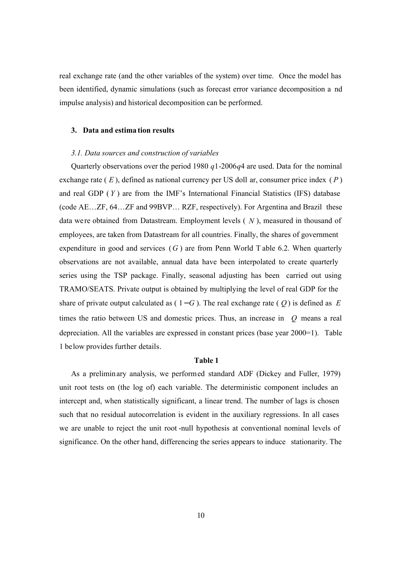real exchange rate (and the other variables of the system) over time. Once the model has been identified, dynamic simulations (such as forecast error variance decomposition a nd impulse analysis) and historical decomposition can be performed.

#### **3. Data and estima tion results**

#### *3.1. Data sources and construction of variables*

Quarterly observations over the period 1980 *q*1-2006*q*4 are used. Data for the nominal exchange rate ( *E* ), defined as national currency per US doll ar, consumer price index ( *P* ) and real GDP ( *Y* ) are from the IMF's International Financial Statistics (IFS) database (code AE…ZF, 64…ZF and 99BVP… RZF, respectively). For Argentina and Brazil these data were obtained from Datastream. Employment levels ( *N* ), measured in thousand of employees, are taken from Datastream for all countries. Finally, the shares of government expenditure in good and services (*G* ) are from Penn World T able 6.2. When quarterly observations are not available, annual data have been interpolated to create quarterly series using the TSP package. Finally, seasonal adjusting has been carried out using TRAMO/SEATS. Private output is obtained by multiplying the level of real GDP for the share of private output calculated as  $(1 - G)$ . The real exchange rate  $(Q)$  is defined as *E* times the ratio between US and domestic prices. Thus, an increase in *Q* means a real depreciation. All the variables are expressed in constant prices (base year 2000=1). Table 1 below provides further details.

## **Table 1**

As a preliminary analysis, we performed standard ADF (Dickey and Fuller, 1979) unit root tests on (the log of) each variable. The deterministic component includes an intercept and, when statistically significant, a linear trend. The number of lags is chosen such that no residual autocorrelation is evident in the auxiliary regressions. In all cases we are unable to reject the unit root -null hypothesis at conventional nominal levels of significance. On the other hand, differencing the series appears to induce stationarity. The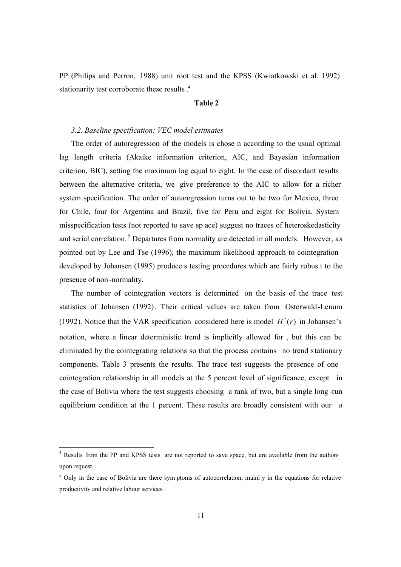PP (Philips and Perron, 1988) unit root test and the KPSS (Kwiatkowski et al. 1992) stationarity test corroborate these results . 4

# **Table 2**

## *3.2. Baseline specification: VEC model estimates*

The order of autoregression of the models is chose n according to the usual optimal lag length criteria (Akaike information criterion, AIC, and Bayesian information criterion, BIC), setting the maximum lag equal to eight. In the case of discordant results between the alternative criteria, we give preference to the AIC to allow for a richer system specification. The order of autoregression turns out to be two for Mexico, three for Chile, four for Argentina and Brazil, five for Peru and eight for Bolivia. System misspecification tests (not reported to save sp ace) suggest no traces of heteroskedasticity and serial correlation.<sup>5</sup> Departures from normality are detected in all models. However, as pointed out by Lee and Tse (1996), the maximum likelihood approach to cointegration developed by Johansen (1995) produce s testing procedures which are fairly robus t to the presence of non -normality.

The number of cointegration vectors is determined on the basis of the trace test statistics of Johansen (1992). Their critical values are taken from Osterwald-Lenum (1992). Notice that the VAR specification considered here is model  $H_1^*(r)$  in Johansen's notation, where a linear deterministic trend is implicitly allowed for , but this can be eliminated by the cointegrating relations so that the process contains no trend stationary components. Table 3 presents the results. The trace test suggests the presence of one cointegration relationship in all models at the 5 percent level of significance, except in the case of Bolivia where the test suggests choosing a rank of two, but a single long -run equilibrium condition at the 1 percent. These results are broadly consistent with our *a* 

-

<sup>&</sup>lt;sup>4</sup> Results from the PP and KPSS tests are not reported to save space, but are available from the authors upon request.

<sup>&</sup>lt;sup>5</sup> Only in the case of Bolivia are there sym ptoms of autocorrelation, mainl y in the equations for relative productivity and relative labour services.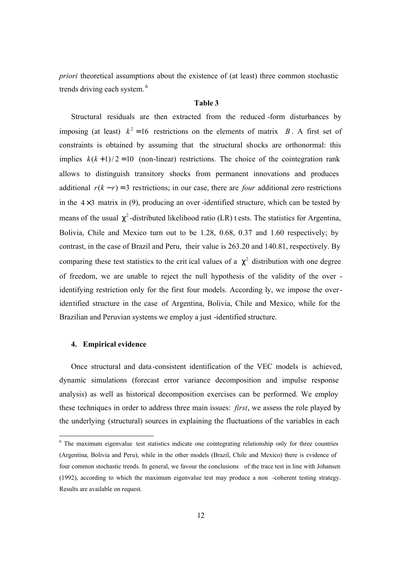*priori* theoretical assumptions about the existence of (at least) three common stochastic trends driving each system. <sup>6</sup>

#### **Table 3**

Structural residuals are then extracted from the reduced -form disturbances by imposing (at least)  $k^2 = 16$  restrictions on the elements of matrix *B*. A first set of constraints is obtained by assuming that the structural shocks are orthonormal: this implies  $k(k+1)/2 = 10$  (non-linear) restrictions. The choice of the cointegration rank allows to distinguish transitory shocks from permanent innovations and produces additional  $r(k - r) = 3$  restrictions; in our case, there are *four* additional zero restrictions in the  $4\times3$  matrix in (9), producing an over-identified structure, which can be tested by means of the usual  $\chi^2$ -distributed likelihood ratio (LR) t ests. The statistics for Argentina, Bolivia, Chile and Mexico turn out to be 1.28, 0.68, 0.37 and 1.60 respectively; by contrast, in the case of Brazil and Peru, their value is 263.20 and 140.81, respectively. By comparing these test statistics to the crit ical values of a  $\chi^2$  distribution with one degree of freedom, we are unable to reject the null hypothesis of the validity of the over identifying restriction only for the first four models. According ly, we impose the overidentified structure in the case of Argentina, Bolivia, Chile and Mexico, while for the Brazilian and Peruvian systems we employ a just -identified structure.

#### **4. Empirical evidence**

-

Once structural and data-consistent identification of the VEC models is achieved, dynamic simulations (forecast error variance decomposition and impulse response analysis) as well as historical decomposition exercises can be performed. We employ these techniques in order to address three main issues: *first*, we assess the role played by the underlying (structural) sources in explaining the fluctuations of the variables in each

<sup>&</sup>lt;sup>6</sup> The maximum eigenvalue test statistics indicate one cointegrating relationship only for three countries (Argentina, Bolivia and Peru), while in the other models (Brazil, Chile and Mexico) there is evidence of four common stochastic trends. In general, we favour the conclusions of the trace test in line with Johansen (1992), according to which the maximum eigenvalue test may produce a non -coherent testing strategy. Results are available on request.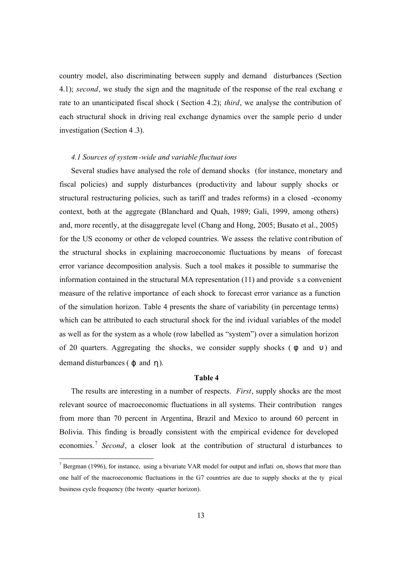country model, also discriminating between supply and demand disturbances (Section 4.1); *second*, we study the sign and the magnitude of the response of the real exchang e rate to an unanticipated fiscal shock ( Section 4.2); *third*, we analyse the contribution of each structural shock in driving real exchange dynamics over the sample perio d under investigation (Section 4 .3).

## *4.1 Sources of system-wide and variable fluctuat ions*

Several studies have analysed the role of demand shocks (for instance, monetary and fiscal policies) and supply disturbances (productivity and labour supply shocks or structural restructuring policies, such as tariff and trades reforms) in a closed -economy context, both at the aggregate (Blanchard and Quah, 1989; Gali, 1999, among others) and, more recently, at the disaggregate level (Chang and Hong, 2005; Busato et al., 2005) for the US economy or other de veloped countries. We assess the relative contribution of the structural shocks in explaining macroeconomic fluctuations by means of forecast error variance decomposition analysis. Such a tool makes it possible to summarise the information contained in the structural MA representation (11) and provide s a convenient measure of the relative importance of each shock to forecast error variance as a function of the simulation horizon. Table 4 presents the share of variability (in percentage terms) which can be attributed to each structural shock for the ind ividual variables of the model as well as for the system as a whole (row labelled as "system") over a simulation horizon of 20 quarters. Aggregating the shocks, we consider supply shocks ( $\phi$  and  $\nu$ ) and demand disturbances ( $\varphi$  and  $\eta$ ).

## **Table 4**

The results are interesting in a number of respects. *First*, supply shocks are the most relevant source of macroeconomic fluctuations in all systems. Their contribution ranges from more than 70 percent in Argentina, Brazil and Mexico to around 60 percent in Bolivia. This finding is broadly consistent with the empirical evidence for developed economies.<sup>7</sup> Second, a closer look at the contribution of structural disturbances to

-

 $<sup>7</sup>$  Bergman (1996), for instance, using a bivariate VAR model for output and inflati on, shows that more than</sup> one half of the macroeconomic fluctuations in the G7 countries are due to supply shocks at the ty pical business cycle frequency (the twenty -quarter horizon).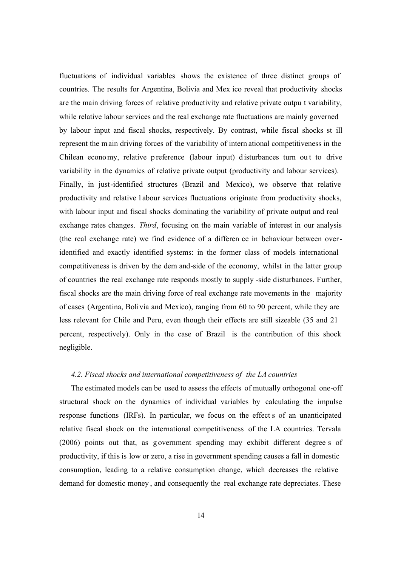fluctuations of individual variables shows the existence of three distinct groups of countries. The results for Argentina, Bolivia and Mex ico reveal that productivity shocks are the main driving forces of relative productivity and relative private outpu t variability, while relative labour services and the real exchange rate fluctuations are mainly governed by labour input and fiscal shocks, respectively. By contrast, while fiscal shocks st ill represent the main driving forces of the variability of intern ational competitiveness in the Chilean economy, relative p reference (labour input) d isturbances turn ou t to drive variability in the dynamics of relative private output (productivity and labour services). Finally, in just-identified structures (Brazil and Mexico), we observe that relative productivity and relative l abour services fluctuations originate from productivity shocks, with labour input and fiscal shocks dominating the variability of private output and real exchange rates changes. *Third*, focusing on the main variable of interest in our analysis (the real exchange rate) we find evidence of a differen ce in behaviour between overidentified and exactly identified systems: in the former class of models international competitiveness is driven by the dem and-side of the economy, whilst in the latter group of countries the real exchange rate responds mostly to supply -side disturbances. Further, fiscal shocks are the main driving force of real exchange rate movements in the majority of cases (Argentina, Bolivia and Mexico), ranging from 60 to 90 percent, while they are less relevant for Chile and Peru, even though their effects are still sizeable (35 and 21 percent, respectively). Only in the case of Brazil is the contribution of this shock negligible.

# *4.2. Fiscal shocks and international competitiveness of the LA countries*

The estimated models can be used to assess the effects of mutually orthogonal one-off structural shock on the dynamics of individual variables by calculating the impulse response functions (IRFs). In particular, we focus on the effect s of an unanticipated relative fiscal shock on the international competitiveness of the LA countries. Tervala (2006) points out that, as g overnment spending may exhibit different degree s of productivity, if this is low or zero, a rise in government spending causes a fall in domestic consumption, leading to a relative consumption change, which decreases the relative demand for domestic money , and consequently the real exchange rate depreciates. These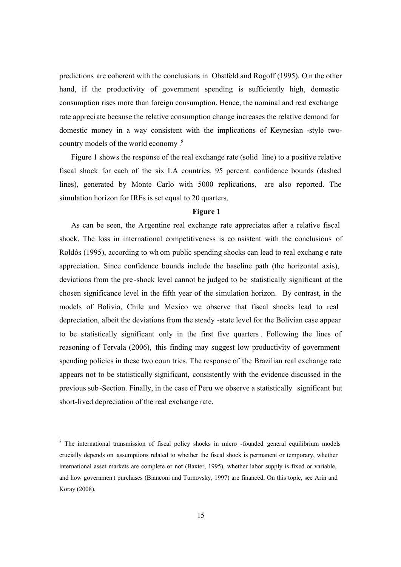predictions are coherent with the conclusions in Obstfeld and Rogoff (1995). O n the other hand, if the productivity of government spending is sufficiently high, domestic consumption rises more than foreign consumption. Hence, the nominal and real exchange rate appreciate because the relative consumption change increases the relative demand for domestic money in a way consistent with the implications of Keynesian -style twocountry models of the world economy . 8

Figure 1 shows the response of the real exchange rate (solid line) to a positive relative fiscal shock for each of the six LA countries. 95 percent confidence bounds (dashed lines), generated by Monte Carlo with 5000 replications, are also reported. The simulation horizon for IRFs is set equal to 20 quarters.

#### **Figure 1**

As can be seen, the Argentine real exchange rate appreciates after a relative fiscal shock. The loss in international competitiveness is co nsistent with the conclusions of Roldós (1995), according to wh om public spending shocks can lead to real exchang e rate appreciation. Since confidence bounds include the baseline path (the horizontal axis), deviations from the pre -shock level cannot be judged to be statistically significant at the chosen significance level in the fifth year of the simulation horizon. By contrast, in the models of Bolivia, Chile and Mexico we observe that fiscal shocks lead to real depreciation, albeit the deviations from the steady -state level for the Bolivian case appear to be statistically significant only in the first five quarters . Following the lines of reasoning of Tervala (2006), this finding may suggest low productivity of government spending policies in these two coun tries. The response of the Brazilian real exchange rate appears not to be statistically significant, consistently with the evidence discussed in the previous sub-Section. Finally, in the case of Peru we observe a statistically significant but short-lived depreciation of the real exchange rate.

-

<sup>&</sup>lt;sup>8</sup> The international transmission of fiscal policy shocks in micro -founded general equilibrium models crucially depends on assumptions related to whether the fiscal shock is permanent or temporary, whether international asset markets are complete or not (Baxter, 1995), whether labor supply is fixed or variable, and how governmen t purchases (Bianconi and Turnovsky, 1997) are financed. On this topic, see Arin and Koray (2008).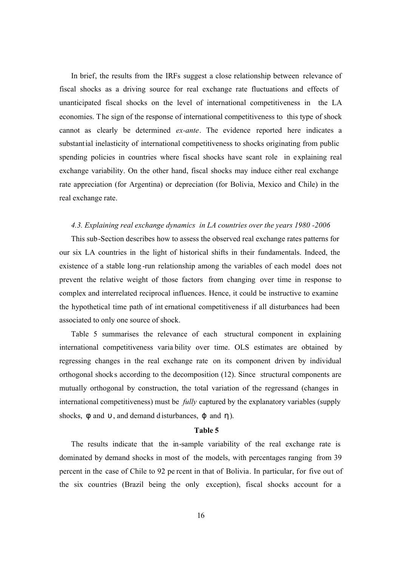In brief, the results from the IRFs suggest a close relationship between relevance of fiscal shocks as a driving source for real exchange rate fluctuations and effects of unanticipated fiscal shocks on the level of international competitiveness in the LA economies. The sign of the response of international competitiveness to this type of shock cannot as clearly be determined *ex-ante*. The evidence reported here indicates a substantial inelasticity of international competitiveness to shocks originating from public spending policies in countries where fiscal shocks have scant role in explaining real exchange variability. On the other hand, fiscal shocks may induce either real exchange rate appreciation (for Argentina) or depreciation (for Bolivia, Mexico and Chile) in the real exchange rate.

## *4.3. Explaining real exchange dynamics in LA countries over the years 1980 -2006*

This sub-Section describes how to assess the observed real exchange rates patterns for our six LA countries in the light of historical shifts in their fundamentals. Indeed, the existence of a stable long -run relationship among the variables of each model does not prevent the relative weight of those factors from changing over time in response to complex and interrelated reciprocal influences. Hence, it could be instructive to examine the hypothetical time path of int ernational competitiveness if all disturbances had been associated to only one source of shock.

Table 5 summarises the relevance of each structural component in explaining international competitiveness varia bility over time. OLS estimates are obtained by regressing changes in the real exchange rate on its component driven by individual orthogonal shocks according to the decomposition (12). Since structural components are mutually orthogonal by construction, the total variation of the regressand (changes in international competitiveness) must be *fully* captured by the explanatory variables (supply shocks,  $\phi$  and  $\nu$ , and demand d isturbances,  $\phi$  and  $\eta$ ).

#### **Table 5**

The results indicate that the in-sample variability of the real exchange rate is dominated by demand shocks in most of the models, with percentages ranging from 39 percent in the case of Chile to 92 pe rcent in that of Bolivia. In particular, for five out of the six countries (Brazil being the only exception), fiscal shocks account for a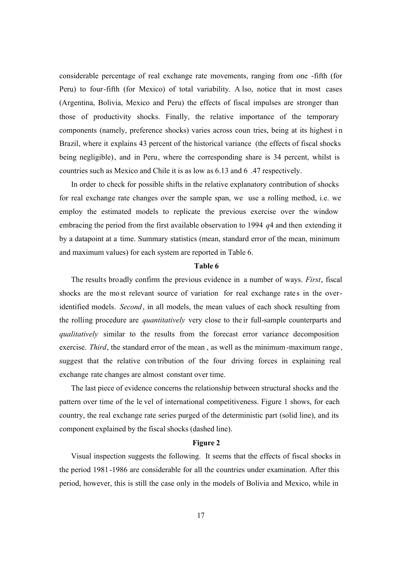considerable percentage of real exchange rate movements, ranging from one -fifth (for Peru) to four-fifth (for Mexico) of total variability. A lso, notice that in most cases (Argentina, Bolivia, Mexico and Peru) the effects of fiscal impulses are stronger than those of productivity shocks. Finally, the relative importance of the temporary components (namely, preference shocks) varies across coun tries, being at its highest i n Brazil, where it explains 43 percent of the historical variance (the effects of fiscal shocks being negligible), and in Peru, where the corresponding share is 34 percent, whilst is countries such as Mexico and Chile it is as low as 6.13 and 6 .47 respectively.

In order to check for possible shifts in the relative explanatory contribution of shocks for real exchange rate changes over the sample span, we use a rolling method, i.e. we employ the estimated models to replicate the previous exercise over the window embracing the period from the first available observation to 1994 *q*4 and then extending it by a datapoint at a time. Summary statistics (mean, standard error of the mean, minimum and maximum values) for each system are reported in Table 6.

#### **Table 6**

The results broadly confirm the previous evidence in a number of ways. *First*, fiscal shocks are the most relevant source of variation for real exchange rates in the overidentified models. *Second*, in all models, the mean values of each shock resulting from the rolling procedure are *quantitatively* very close to the ir full-sample counterparts and *qualitatively* similar to the results from the forecast error variance decomposition exercise. *Third*, the standard error of the mean, as well as the minimum-maximum range, suggest that the relative con tribution of the four driving forces in explaining real exchange rate changes are almost constant over time.

The last piece of evidence concerns the relationship between structural shocks and the pattern over time of the le vel of international competitiveness. Figure 1 shows, for each country, the real exchange rate series purged of the deterministic part (solid line), and its component explained by the fiscal shocks (dashed line).

## **Figure 2**

Visual inspection suggests the following. It seems that the effects of fiscal shocks in the period 1981-1986 are considerable for all the countries under examination. After this period, however, this is still the case only in the models of Bolivia and Mexico, while in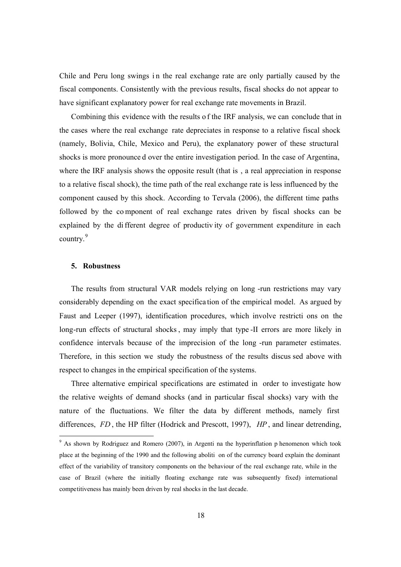Chile and Peru long swings in the real exchange rate are only partially caused by the fiscal components. Consistently with the previous results, fiscal shocks do not appear to have significant explanatory power for real exchange rate movements in Brazil.

Combining this evidence with the results o f the IRF analysis, we can conclude that in the cases where the real exchange rate depreciates in response to a relative fiscal shock (namely, Bolivia, Chile, Mexico and Peru), the explanatory power of these structural shocks is more pronounce d over the entire investigation period. In the case of Argentina, where the IRF analysis shows the opposite result (that is, a real appreciation in response to a relative fiscal shock), the time path of the real exchange rate is less influenced by the component caused by this shock. According to Tervala (2006), the different time paths followed by the co mponent of real exchange rates driven by fiscal shocks can be explained by the different degree of productiv ity of government expenditure in each country.<sup>9</sup>

## **5. Robustness**

The results from structural VAR models relying on long -run restrictions may vary considerably depending on the exact specifica tion of the empirical model. As argued by Faust and Leeper (1997), identification procedures, which involve restricti ons on the long-run effects of structural shocks , may imply that type -II errors are more likely in confidence intervals because of the imprecision of the long -run parameter estimates. Therefore, in this section we study the robustness of the results discus sed above with respect to changes in the empirical specification of the systems.

Three alternative empirical specifications are estimated in order to investigate how the relative weights of demand shocks (and in particular fiscal shocks) vary with the nature of the fluctuations. We filter the data by different methods, namely first differences, *FD* , the HP filter (Hodrick and Prescott, 1997), *HP* , and linear detrending,

 $\frac{9}{9}$  As shown by Rodriguez and Romero (2007), in Argenti na the hyperinflation p henomenon which took place at the beginning of the 1990 and the following aboliti on of the currency board explain the dominant effect of the variability of transitory components on the behaviour of the real exchange rate, while in the case of Brazil (where the initially floating exchange rate was subsequently fixed) international competitiveness has mainly been driven by real shocks in the last decade.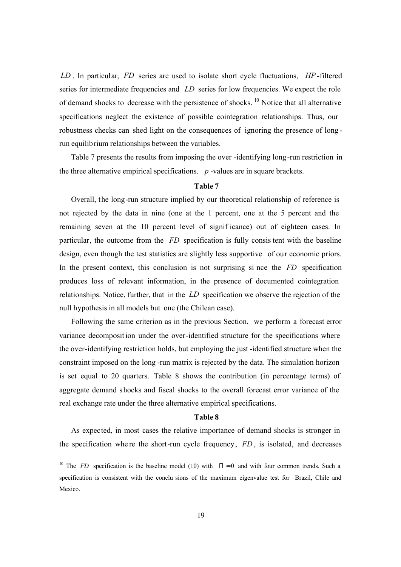*LD* . In particular, *FD* series are used to isolate short cycle fluctuations, *HP* -filtered series for intermediate frequencies and *LD* series for low frequencies. We expect the role of demand shocks to decrease with the persistence of shocks. <sup>10</sup> Notice that all alternative specifications neglect the existence of possible cointegration relationships. Thus, our robustness checks can shed light on the consequences of ignoring the presence of long run equilibrium relationships between the variables.

Table 7 presents the results from imposing the over -identifying long-run restriction in the three alternative empirical specifications. *p* -values are in square brackets.

# **Table 7**

Overall, the long-run structure implied by our theoretical relationship of reference is not rejected by the data in nine (one at the 1 percent, one at the 5 percent and the remaining seven at the 10 percent level of signif icance) out of eighteen cases. In particular, the outcome from the *FD* specification is fully consis tent with the baseline design, even though the test statistics are slightly less supportive of our economic priors. In the present context, this conclusion is not surprising si nce the *FD* specification produces loss of relevant information, in the presence of documented cointegration relationships. Notice, further, that in the *LD* specification we observe the rejection of the null hypothesis in all models but one (the Chilean case).

Following the same criterion as in the previous Section, we perform a forecast error variance decomposit ion under the over-identified structure for the specifications where the over-identifying restriction holds, but employing the just -identified structure when the constraint imposed on the long -run matrix is rejected by the data. The simulation horizon is set equal to 20 quarters. Table 8 shows the contribution (in percentage terms) of aggregate demand s hocks and fiscal shocks to the overall forecast error variance of the real exchange rate under the three alternative empirical specifications.

#### **Table 8**

As expected, in most cases the relative importance of demand shocks is stronger in the specification whe re the short-run cycle frequency, *FD* , is isolated, and decreases

-

<sup>&</sup>lt;sup>10</sup> The *FD* specification is the baseline model (10) with  $\Pi = 0$  and with four common trends. Such a specification is consistent with the conclu sions of the maximum eigenvalue test for Brazil, Chile and Mexico.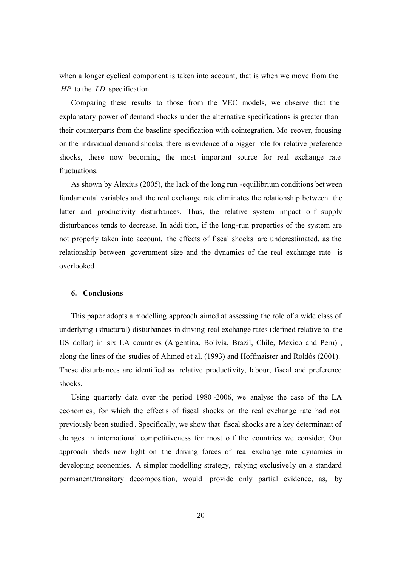when a longer cyclical component is taken into account, that is when we move from the *HP* to the *LD* specification*.*

Comparing these results to those from the VEC models, we observe that the explanatory power of demand shocks under the alternative specifications is greater than their counterparts from the baseline specification with cointegration. Mo reover, focusing on the individual demand shocks, there is evidence of a bigger role for relative preference shocks, these now becoming the most important source for real exchange rate fluctuations.

As shown by Alexius (2005), the lack of the long run -equilibrium conditions bet ween fundamental variables and the real exchange rate eliminates the relationship between the latter and productivity disturbances. Thus, the relative system impact o f supply disturbances tends to decrease. In addi tion, if the long-run properties of the system are not properly taken into account, the effects of fiscal shocks are underestimated, as the relationship between government size and the dynamics of the real exchange rate is overlooked.

#### **6. Conclusions**

This paper adopts a modelling approach aimed at assessing the role of a wide class of underlying (structural) disturbances in driving real exchange rates (defined relative to the US dollar) in six LA countries (Argentina, Bolivia, Brazil, Chile, Mexico and Peru) , along the lines of the studies of Ahmed et al. (1993) and Hoffmaister and Roldós (2001). These disturbances are identified as relative productivity, labour, fiscal and preference shocks.

Using quarterly data over the period 1980 -2006, we analyse the case of the LA economies, for which the effects of fiscal shocks on the real exchange rate had not previously been studied . Specifically, we show that fiscal shocks are a key determinant of changes in international competitiveness for most o f the countries we consider. Our approach sheds new light on the driving forces of real exchange rate dynamics in developing economies. A simpler modelling strategy, relying exclusive ly on a standard permanent/transitory decomposition, would provide only partial evidence, as, by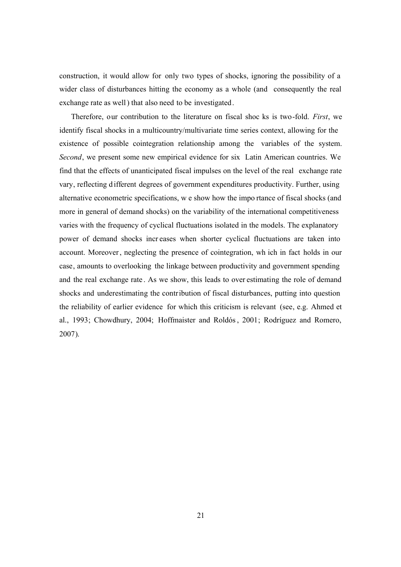construction, it would allow for only two types of shocks, ignoring the possibility of a wider class of disturbances hitting the economy as a whole (and consequently the real exchange rate as well) that also need to be investigated.

Therefore, our contribution to the literature on fiscal shoc ks is two-fold. *First*, we identify fiscal shocks in a multicountry/multivariate time series context, allowing for the existence of possible cointegration relationship among the variables of the system. *Second*, we present some new empirical evidence for six Latin American countries. We find that the effects of unanticipated fiscal impulses on the level of the real exchange rate vary, reflecting d ifferent degrees of government expenditures productivity. Further, using alternative econometric specifications, w e show how the impo rtance of fiscal shocks (and more in general of demand shocks) on the variability of the international competitiveness varies with the frequency of cyclical fluctuations isolated in the models. The explanatory power of demand shocks incr eases when shorter cyclical fluctuations are taken into account. Moreover, neglecting the presence of cointegration, wh ich in fact holds in our case, amounts to overlooking the linkage between productivity and government spending and the real exchange rate . As we show, this leads to over estimating the role of demand shocks and underestimating the contribution of fiscal disturbances, putting into question the reliability of earlier evidence for which this criticism is relevant (see, e.g. Ahmed et al., 1993; Chowdhury, 2004; Hoffmaister and Roldós, 2001; Rodríguez and Romero, 2007).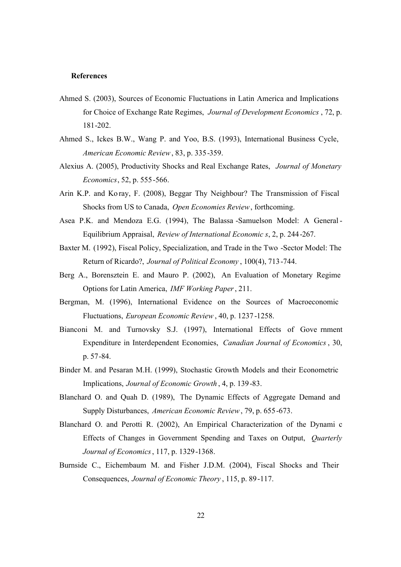#### **References**

- Ahmed S. (2003), Sources of Economic Fluctuations in Latin America and Implications for Choice of Exchange Rate Regimes, *Journal of Development Economics* , 72, p. 181-202.
- Ahmed S., Ickes B.W., Wang P. and Yoo, B.S. (1993), International Business Cycle, *American Economic Review*, 83, p. 335-359.
- Alexius A. (2005), Productivity Shocks and Real Exchange Rates, *Journal of Monetary Economics*, 52, p. 555-566.
- Arin K.P. and Ko ray, F. (2008), Beggar Thy Neighbour? The Transmission of Fiscal Shocks from US to Canada, *Open Economies Review*, forthcoming.
- Asea P.K. and Mendoza E.G. (1994), The Balassa -Samuelson Model: A General Equilibrium Appraisal, *Review of International Economic s*, 2, p. 244-267.
- Baxter M. (1992), Fiscal Policy, Specialization, and Trade in the Two -Sector Model: The Return of Ricardo?, *Journal of Political Economy* , 100(4), 713-744.
- Berg A., Borensztein E. and Mauro P. (2002), An Evaluation of Monetary Regime Options for Latin America, *IMF Working Paper*, 211.
- Bergman, M. (1996), International Evidence on the Sources of Macroeconomic Fluctuations, *European Economic Review* , 40, p. 1237-1258.
- Bianconi M. and Turnovsky S.J. (1997), International Effects of Gove rnment Expenditure in Interdependent Economies, *Canadian Journal of Economics* , 30, p. 57-84.
- Binder M. and Pesaran M.H. (1999), Stochastic Growth Models and their Econometric Implications, *Journal of Economic Growth* , 4, p. 139-83.
- Blanchard O. and Quah D. (1989), The Dynamic Effects of Aggregate Demand and Supply Disturbances, *American Economic Review*, 79, p. 655-673.
- Blanchard O. and Perotti R. (2002), An Empirical Characterization of the Dynami c Effects of Changes in Government Spending and Taxes on Output, *Quarterly Journal of Economics*, 117, p. 1329-1368.
- Burnside C., Eichembaum M. and Fisher J.D.M. (2004), Fiscal Shocks and Their Consequences, *Journal of Economic Theory* , 115, p. 89-117.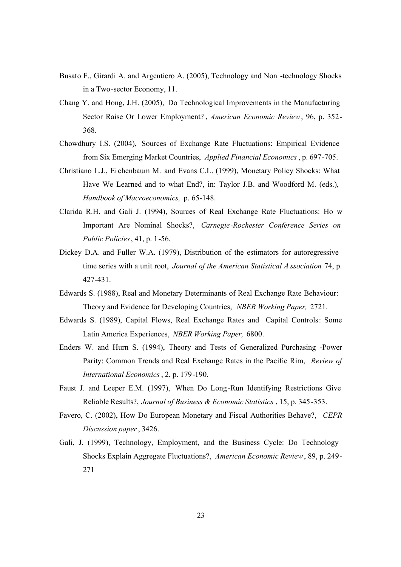- Busato F., Girardi A. and Argentiero A. (2005), Technology and Non -technology Shocks in a Two-sector Economy, 11.
- Chang Y. and Hong, J.H. (2005), Do Technological Improvements in the Manufacturing Sector Raise Or Lower Employment? , *American Economic Review*, 96, p. 352- 368.
- Chowdhury I.S. (2004), Sources of Exchange Rate Fluctuations: Empirical Evidence from Six Emerging Market Countries, *Applied Financial Economics*, p. 697-705.
- Christiano L.J., Ei chenbaum M. and Evans C.L. (1999), Monetary Policy Shocks: What Have We Learned and to what End?, in: Taylor J.B. and Woodford M. (eds.), *Handbook of Macroeconomics,* p. 65-148.
- Clarida R.H. and Gali J. (1994), Sources of Real Exchange Rate Fluctuations: Ho w Important Are Nominal Shocks?, *Carnegie-Rochester Conference Series on Public Policies*, 41, p. 1-56.
- Dickey D.A. and Fuller W.A. (1979), Distribution of the estimators for autoregressive time series with a unit root, *Journal of the American Statistical A ssociation* 74, p. 427-431.
- Edwards S. (1988), Real and Monetary Determinants of Real Exchange Rate Behaviour: Theory and Evidence for Developing Countries, *NBER Working Paper,* 2721.
- Edwards S. (1989), Capital Flows, Real Exchange Rates and Capital Controls: Some Latin America Experiences, *NBER Working Paper,* 6800.
- Enders W. and Hurn S. (1994), Theory and Tests of Generalized Purchasing -Power Parity: Common Trends and Real Exchange Rates in the Pacific Rim, *Review of International Economics*, 2, p. 179-190.
- Faust J. and Leeper E.M. (1997), When Do Long-Run Identifying Restrictions Give Reliable Results?, *Journal of Business & Economic Statistics* , 15, p. 345-353.
- Favero, C. (2002), How Do European Monetary and Fiscal Authorities Behave?, *CEPR Discussion paper*, 3426.
- Gali, J. (1999), Technology, Employment, and the Business Cycle: Do Technology Shocks Explain Aggregate Fluctuations?, *American Economic Review*, 89, p. 249- 271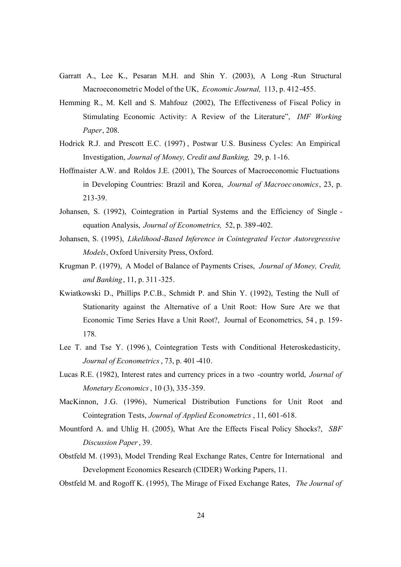- Garratt A., Lee K., Pesaran M.H. and Shin Y. (2003), A Long -Run Structural Macroeconometric Model of the UK, *Economic Journal,* 113, p. 412-455.
- Hemming R., M. Kell and S. Mahfouz (2002), The Effectiveness of Fiscal Policy in Stimulating Economic Activity: A Review of the Literature", *IMF Working Paper*, 208.
- Hodrick R.J. and Prescott E.C. (1997) , Postwar U.S. Business Cycles: An Empirical Investigation, *Journal of Money, Credit and Banking,* 29, p. 1-16.
- Hoffmaister A.W. and Roldos J.E. (2001), The Sources of Macroeconomic Fluctuations in Developing Countries: Brazil and Korea, *Journal of Macroeconomics*, 23, p. 213-39.
- Johansen, S. (1992), Cointegration in Partial Systems and the Efficiency of Single equation Analysis, *Journal of Econometrics,* 52, p. 389-402.
- Johansen, S. (1995), *Likelihood-Based Inference in Cointegrated Vector Autoregressive Models*, Oxford University Press, Oxford.
- Krugman P. (1979), A Model of Balance of Payments Crises, *Journal of Money, Credit, and Banking*, 11, p. 311-325.
- Kwiatkowski D., Phillips P.C.B., Schmidt P. and Shin Y. (1992), Testing the Null of Stationarity against the Alternative of a Unit Root: How Sure Are we that Economic Time Series Have a Unit Root?, Journal of Econometrics, 54 , p. 159- 178.
- Lee T. and Tse Y. (1996), Cointegration Tests with Conditional Heteroskedasticity, *Journal of Econometrics*, 73, p. 401 -410.
- Lucas R.E. (1982), Interest rates and currency prices in a two -country world, *Journal of Monetary Economics*, 10 (3), 335-359.
- MacKinnon, J.G. (1996), Numerical Distribution Functions for Unit Root and Cointegration Tests, *Journal of Applied Econometrics* , 11, 601-618.
- Mountford A. and Uhlig H. (2005), What Are the Effects Fiscal Policy Shocks?, *SBF Discussion Paper*, 39.
- Obstfeld M. (1993), Model Trending Real Exchange Rates, Centre for International and Development Economics Research (CIDER) Working Papers, 11.
- Obstfeld M. and Rogoff K. (1995), The Mirage of Fixed Exchange Rates, *The Journal of*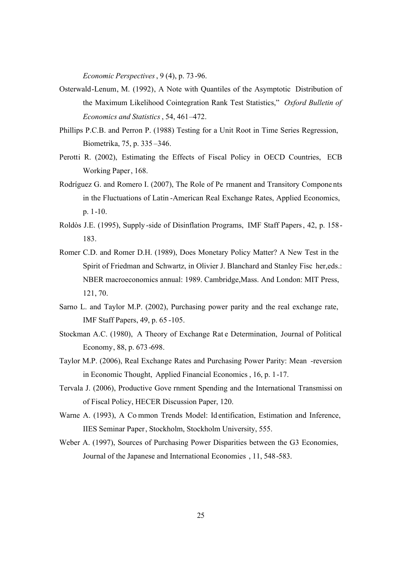*Economic Perspectives*, 9 (4), p. 73-96.

- Osterwald-Lenum, M. (1992), A Note with Quantiles of the Asymptotic Distribution of the Maximum Likelihood Cointegration Rank Test Statistics," *Oxford Bulletin of Economics and Statistics*, 54, 461–472.
- Phillips P.C.B. and Perron P. (1988) Testing for a Unit Root in Time Series Regression, Biometrika, 75, p. 335 –346.
- Perotti R. (2002), Estimating the Effects of Fiscal Policy in OECD Countries, ECB Working Paper, 168.
- Rodríguez G. and Romero I. (2007), The Role of Pe rmanent and Transitory Compone nts in the Fluctuations of Latin -American Real Exchange Rates, Applied Economics, p. 1-10.
- Roldòs J.E. (1995), Supply -side of Disinflation Programs, IMF Staff Papers, 42, p. 158- 183.
- Romer C.D. and Romer D.H. (1989), Does Monetary Policy Matter? A New Test in the Spirit of Friedman and Schwartz, in Olivier J. Blanchard and Stanley Fisc her,eds.: NBER macroeconomics annual: 1989. Cambridge,Mass. And London: MIT Press, 121, 70.
- Sarno L. and Taylor M.P. (2002), Purchasing power parity and the real exchange rate, IMF Staff Papers, 49, p. 65 -105.
- Stockman A.C. (1980), A Theory of Exchange Rat e Determination, Journal of Political Economy, 88, p. 673 -698.
- Taylor M.P. (2006), Real Exchange Rates and Purchasing Power Parity: Mean -reversion in Economic Thought, Applied Financial Economics , 16, p. 1-17.
- Tervala J. (2006), Productive Gove rnment Spending and the International Transmissi on of Fiscal Policy, HECER Discussion Paper, 120.
- Warne A. (1993), A Co mmon Trends Model: Id entification, Estimation and Inference, IIES Seminar Paper, Stockholm, Stockholm University, 555.
- Weber A. (1997), Sources of Purchasing Power Disparities between the G3 Economies, Journal of the Japanese and International Economies , 11, 548-583.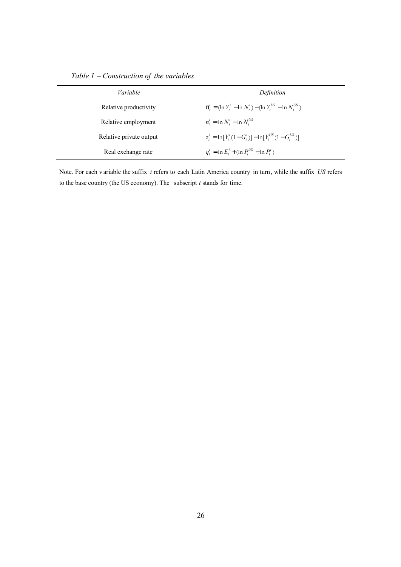*Table 1 – Construction of the variables*

| Variable                | Definition                                                                                                |
|-------------------------|-----------------------------------------------------------------------------------------------------------|
| Relative productivity   | $\pi^{i}_{t} = \left(\ln Y^{i}_{t} - \ln N^{i}_{t}\right) - \left(\ln Y^{US}_{t} - \ln N^{US}_{t}\right)$ |
| Relative employment     | $n_t^i = \ln N_t^i - \ln N_t^{US}$                                                                        |
| Relative private output | $z_t^i = \ln[Y_t^i(1-G_t^i)] - \ln[Y_t^{US}(1-G_t^{US})]$                                                 |
| Real exchange rate      | $q_t^i = \ln E_t^i + (\ln P_t^{US} - \ln P_t^i)$                                                          |

Note. For each v ariable the suffix *i* refers to each Latin America country in turn, while the suffix *US* refers to the base country (the US economy). The subscript *t* stands for time.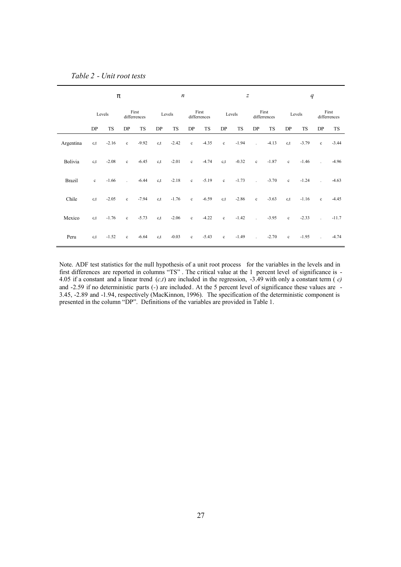| Table 2 - Unit root tests |  |  |
|---------------------------|--|--|
|---------------------------|--|--|

|               | π       |           |                | $\boldsymbol{n}$      |         |           | $\boldsymbol{Z}$ |                       |              | $\boldsymbol{q}$ |                             |                       |              |           |                             |                       |
|---------------|---------|-----------|----------------|-----------------------|---------|-----------|------------------|-----------------------|--------------|------------------|-----------------------------|-----------------------|--------------|-----------|-----------------------------|-----------------------|
|               |         | Levels    |                | First<br>differrences |         | Levels    |                  | First<br>differrences |              | Levels           |                             | First<br>differrences |              | Levels    |                             | First<br>differrences |
|               | DP      | <b>TS</b> | DP             | <b>TS</b>             | DP      | <b>TS</b> | DP               | TS                    | DP           | <b>TS</b>        | DP                          | TS                    | DP           | <b>TS</b> | DP                          | <b>TS</b>             |
| Argentina     | c,t     | $-2.16$   | $\mathbf c$    | $-9.92$               | c,t     | $-2.42$   | $\mathbf c$      | $-4.35$               | $\mathbf c$  | $-1.94$          | $\mathcal{L}^{\mathcal{L}}$ | $-4.13$               | c,t          | $-3.79$   | $\mathbf c$                 | $-3.44$               |
| Bolivia       | c.t     | $-2.08$   | $\mathbf c$    | $-6.45$               | c,t     | $-2.01$   | $\mathbf c$      | $-4.74$               | c,t          | $-0.32$          | $\mathbf c$                 | $-1.87$               | $\mathbf c$  | $-1.46$   | $\sim 10$                   | -4.96                 |
| <b>Brazil</b> | $\rm c$ | $-1.66$   | $\overline{a}$ | $-6.44$               | c,t     | $-2.18$   | $\mathbf{c}$     | $-5.19$               | $\mathbf c$  | $-1.73$          | $\mathbb{R}^2$              | $-3.70$               | $\mathbf{c}$ | $-1.24$   | $\sim$                      | $-4.63$               |
| Chile         | c,t     | $-2.05$   | $\mathbf c$    | $-7.94$               | c,t     | $-1.76$   | $\mathbf c$      | $-6.59$               | c,t          | $-2.86$          | $\mathbf c$                 | $-3.63$               | c,t          | $-1.16$   | $\mathbf{c}$                | $-4.45$               |
| Mexico        | c.t     | $-1.76$   | $\mathbf{c}$   | $-5.73$               | $c_{x}$ | $-2.06$   | $\mathbf{c}$     | $-4.22$               | $\mathbf{c}$ | $-1.42$          | $\mathbb{R}^2$              | $-3.95$               | $\mathbf{c}$ | $-2.33$   | $\mathcal{L}^{\mathcal{L}}$ | $-11.7$               |
| Peru          | c,t     | $-1.52$   | $\mathbf c$    | $-6.64$               | c,t     | $-0.03$   | $\mathbf c$      | $-5.43$               | $\mathbf c$  | $-1.49$          | $\sim$                      | $-2.70$               | $\mathbf c$  | $-1.95$   | $\sim 100$                  | $-4.74$               |

Note. ADF test statistics for the null hypothesis of a unit root process for the variables in the levels and in first differences are reported in columns "TS" . The critical value at the 1 percent level of significance is - 4.05 if a constant and a linear trend (*c,t*) are included in the regression, -3.49 with only a constant term ( *c)* and -2.59 if no deterministic parts (-) are included. At the 5 percent level of significance these values are  $\overline{a}$ 3.45, -2.89 and -1.94, respectively (MacKinnon, 1996). The specification of the deterministic component is presented in the column "DP". Definitions of the variables are provided in Table 1.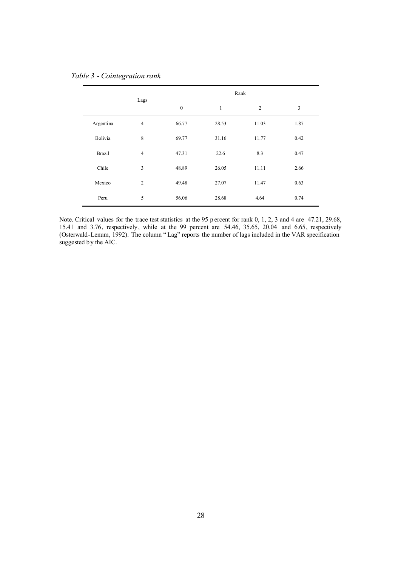## *Table 3 - Cointegration rank*

|               | Lags           | Rank             |       |                |      |  |  |
|---------------|----------------|------------------|-------|----------------|------|--|--|
|               |                | $\boldsymbol{0}$ | 1     | $\overline{2}$ | 3    |  |  |
| Argentina     | $\overline{4}$ | 66.77            | 28.53 | 11.03          | 1.87 |  |  |
| Bolivia       | 8              | 69.77            | 31.16 | 11.77          | 0.42 |  |  |
| <b>Brazil</b> | $\overline{4}$ | 47.31            | 22.6  | 8.3            | 0.47 |  |  |
| Chile         | 3              | 48.89            | 26.05 | 11.11          | 2.66 |  |  |
| Mexico        | $\overline{2}$ | 49.48            | 27.07 | 11.47          | 0.63 |  |  |
| Peru          | 5              | 56.06            | 28.68 | 4.64           | 0.74 |  |  |

Note. Critical values for the trace test statistics at the 95 p ercent for rank 0, 1, 2, 3 and 4 are 47.21, 29.68, 15.41 and 3.76, respectively, while at the 99 percent are 54.46, 35.65, 20.04 and 6.65, respectively (Osterwald-Lenum, 1992). The column " Lag" reports the number of lags included in the VAR specification suggested by the AIC.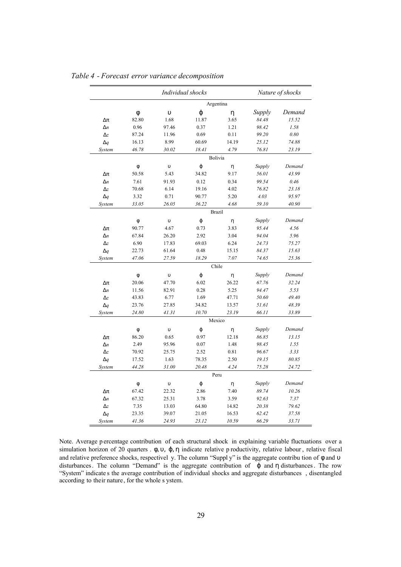|              | Individual shocks |            |           |               |        | Nature of shocks |  |
|--------------|-------------------|------------|-----------|---------------|--------|------------------|--|
|              |                   |            |           |               |        |                  |  |
|              | φ                 | $\upsilon$ | φ         | η             | Supply | Demand           |  |
| $\Delta \pi$ | 82.80             | 1.68       | 11.87     | 3.65          | 84.48  | 15.52            |  |
| $\Delta n$   | 0.96              | 97.46      | 0.37      | 1.21          | 98.42  | 1.58             |  |
| $\Delta z$   | 87.24             | 11.96      | 0.69      | 0.11          | 99.20  | 0.80             |  |
| $\Delta q$   | 16.13             | 8.99       | 60.69     | 14.19         | 25.12  | 74.88            |  |
| System       | 46.78             | 30.02      | 18.41     | 4.79          | 76.81  | 23.19            |  |
|              |                   |            |           | Bolivia       |        |                  |  |
|              | φ                 | $\upsilon$ | φ         | η             | Supply | Demand           |  |
| $\Delta \pi$ | 50.58             | 5.43       | 34.82     | 9.17          | 56.01  | 43.99            |  |
| $\Delta n$   | 7.61              | 91.93      | 0.12      | 0.34          | 99.54  | 0.46             |  |
| $\Delta z$   | 70.68             | 6.14       | 19.16     | 4.02          | 76.82  | 23.18            |  |
| $\Delta q$   | 3.32              | 0.71       | 90.77     | 5.20          | 4.03   | 95.97            |  |
| System       | 33.05             | 26.05      | 36.22     | 4.68          | 59.10  | 40.90            |  |
|              |                   |            |           | <b>Brazil</b> |        |                  |  |
|              | φ                 | $\upsilon$ | φ         | η             | Supply | Demand           |  |
| $\Delta \pi$ | 90.77             | 4.67       | 0.73      | 3.83          | 95.44  | 4.56             |  |
| $\Delta n$   | 67.84             | 26.20      | 2.92      | 3.04          | 94.04  | 5.96             |  |
| $\Delta z$   | 6.90              | 17.83      | 69.03     | 6.24          | 24.73  | 75.27            |  |
| $\Delta q$   | 22.73             | 61.64      | 0.48      | 15.15         | 84.37  | 15.63            |  |
| System       | 47.06             | 27.59      | 18.29     | 7.07          | 74.65  | 25.36            |  |
|              |                   |            |           | Chile         |        |                  |  |
|              | φ                 | $\upsilon$ | $\varphi$ | η             | Supply | Demand           |  |
| $\Delta \pi$ | 20.06             | 47.70      | 6.02      | 26.22         | 67.76  | 32.24            |  |
| $\Delta n$   | 11.56             | 82.91      | 0.28      | 5.25          | 94.47  | 5.53             |  |
| $\Delta z$   | 43.83             | 6.77       | 1.69      | 47.71         | 50.60  | 49.40            |  |
| $\Delta q$   | 23.76             | 27.85      | 34.82     | 13.57         | 51.61  | 48.39            |  |
| System       | 24.80             | 41.31      | 10.70     | 23.19         | 66.11  | 33.89            |  |
|              |                   |            |           | Mexico        |        |                  |  |
|              | φ                 | $\upsilon$ | $\phi$    | η             | Supply | Demand           |  |
| $\Delta \pi$ | 86.20             | 0.65       | 0.97      | 12.18         | 86.85  | 13.15            |  |
| $\Delta n$   | 2.49              | 95.96      | 0.07      | 1.48          | 98.45  | 1.55             |  |
| $\Delta z$   | 70.92             | 25.75      | 2.52      | 0.81          | 96.67  | 3.33             |  |
| $\Delta q$   | 17.52             | 1.63       | 78.35     | 2.50          | 19.15  | 80.85            |  |
| System       | 44.28             | 31.00      | 20.48     | 4.24          | 75.28  | 24.72            |  |
|              |                   |            |           | Peru          |        |                  |  |
|              | φ                 | $\upsilon$ | φ         | η             | Supply | Demand           |  |
| $\Delta \pi$ | 67.42             | 22.32      | 2.86      | 7.40          | 89.74  | 10.26            |  |
| $\Delta n$   | 67.32             | 25.31      | 3.78      | 3.59          | 92.63  | 7.37             |  |
| $\Delta z$   | 7.35              | 13.03      | 64.80     | 14.82         | 20.38  | 79.62            |  |
| $\Delta q$   | 23.35             | 39.07      | 21.05     | 16.53         | 62.42  | 37.58            |  |
| System       | 41.36             | 24.93      | 23.12     | 10.59         | 66.29  | 33.71            |  |

*Table 4 - Forecast error variance decomposition*

Note. Average p ercentage contribution of each structural shock in explaining variable fluctuations over a simulation horizon of 20 quarters . φ, υ, φ, η indicate relative p roductivity, relative labour, relative fiscal and relative preference shocks, respectivel y. The column "Suppl y" is the aggregate contribu tion of φ and υ disturbances. The column "Demand" is the aggregate contribution of ϕ and η disturbances. The row "System" indicate s the average contribution of individual shocks and aggregate disturbances , disentangled according to their nature, for the whole s ystem.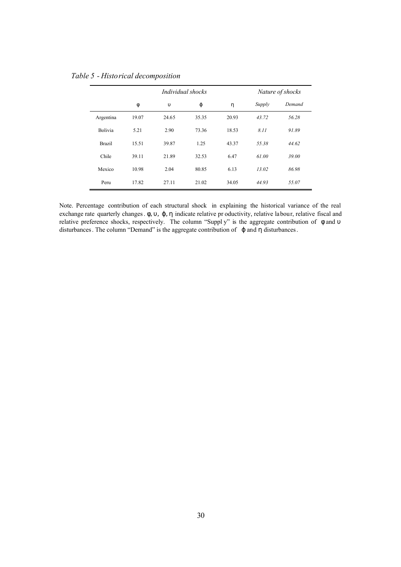|                |       | Individual shocks |       |       |        | Nature of shocks |  |  |
|----------------|-------|-------------------|-------|-------|--------|------------------|--|--|
|                | φ     | $\upsilon$        | φ     | η     | Supply | Demand           |  |  |
| Argentina      | 19.07 | 24.65             | 35.35 | 20.93 | 43.72  | 56.28            |  |  |
| <b>Bolivia</b> | 5.21  | 2.90              | 73.36 | 18.53 | 8.11   | 91.89            |  |  |
| <b>Brazil</b>  | 15.51 | 39.87             | 1.25  | 43.37 | 55.38  | 44.62            |  |  |
| Chile          | 39.11 | 21.89             | 32.53 | 6.47  | 61.00  | 39.00            |  |  |
| Mexico         | 10.98 | 2.04              | 80.85 | 6.13  | 13.02  | 86.98            |  |  |
| Peru           | 17.82 | 27.11             | 21.02 | 34.05 | 44.93  | 55.07            |  |  |

*Table 5 - Historical decomposition*

Note. Percentage contribution of each structural shock in explaining the historical variance of the real exchange rate quarterly changes. φ, υ, φ, η indicate relative pr oductivity, relative labour, relative fiscal and relative preference shocks, respectively. The column "Suppl y" is the aggregate contribution of φ and υ disturbances. The column "Demand" is the aggregate contribution of ϕ and η disturbances.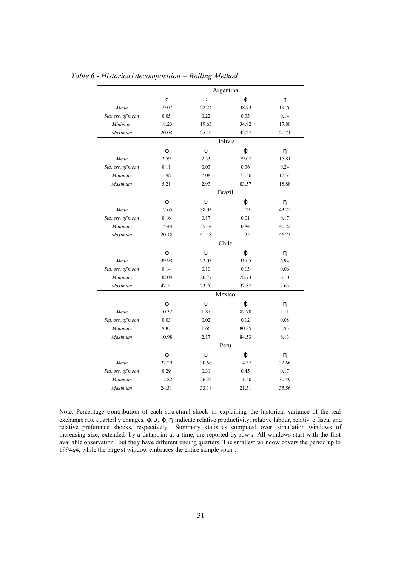|                   | Argentina |               |         |       |  |  |
|-------------------|-----------|---------------|---------|-------|--|--|
|                   | φ         | $\upsilon$    | φ       | η     |  |  |
| Mean              | 19.07     | 22.24         | 38.93   | 19.76 |  |  |
| Std. err. of mean | 0.05      | 0.22          | 0.33    | 0.14  |  |  |
| Minimum           | 18.23     | 19.65         | 34.92   | 17.80 |  |  |
| Maximum           | 20.08     | 25.16         | 42.27   | 21.71 |  |  |
|                   |           |               | Bolivia |       |  |  |
|                   | φ         | $\upsilon$    | φ       | η     |  |  |
| Mean              | 2.59      | 2.53          | 79.07   | 15.81 |  |  |
| Std. err. of mean | 0.11      | 0.03          | 0.36    | 0.24  |  |  |
| Minimum           | 1.98      | 2.08          | 73.36   | 12.33 |  |  |
| Maximum           | 5.21      | 2.93          | 83.57   | 18.88 |  |  |
|                   |           | <b>Brazil</b> |         |       |  |  |
|                   | φ         | $\upsilon$    | φ       | η     |  |  |
| Mean              | 17.65     | 38.03         | 1.09    | 43.22 |  |  |
| Std. err. of mean | 0.16      | 0.17          | 0.01    | 0.17  |  |  |
| Minimum           | 15.44     | 35.14         | 0.84    | 40.22 |  |  |
| Maximum           | 20.18     | 1.25<br>41.18 |         | 46.73 |  |  |
|                   |           |               | Chile   |       |  |  |
|                   | φ         | $\upsilon$    | φ       | η     |  |  |
| Mean              | 39.98     | 22.03         | 31.05   | 6.94  |  |  |
| Std. err. of mean | 0.14      | 0.10          | 0.13    | 0.06  |  |  |
| Minimum           | 38.04     | 20.77         | 28.73   | 6.10  |  |  |
| Maximum           | 42.51     | 23.70         | 32.87   | 7.65  |  |  |
|                   |           | Mexico        |         |       |  |  |
|                   | φ         | $\upsilon$    | φ       | η     |  |  |
| Mean              | 10.32     | 1.87          | 82.70   | 5.11  |  |  |
| Std. err. of mean | 0.03      | 0.02          | 0.12    | 0.08  |  |  |
| Minimum           | 9.87      | 1.66          | 80.85   | 3.93  |  |  |
| Maximum           | 10.98     | 2.17          | 84.53   | 6.13  |  |  |
|                   |           |               | Peru    |       |  |  |
|                   | Φ         | $\upsilon$    | φ       | η     |  |  |
| Mean              | 22.29     | 30.68         | 14.37   | 32.66 |  |  |
| Std. err. of mean | 0.29      | 0.31          | 0.45    | 0.17  |  |  |
| Minimum           | 17.82     | 26.24         | 11.20   | 30.49 |  |  |
| Maximum           | 24.31     | 33.18         | 21.31   | 35.56 |  |  |

## *Table 6 - Historical decomposition – Rolling Method*

Note. Percentage c ontribution of each stru ctural shock in explaining the historical variance of the real exchange rate quarterl y changes.  $\phi$ ,  $\nu$ ,  $\phi$ ,  $\eta$  indicate relative productivity, relative labour, relative fiscal and relative preference shocks, respectively. Summary statistics computed over simulation windows of increasing size, extended by a datapoint at a time, are reported by row s. All windows start with the first available observation , but they have different ending quarters. The smallest wi ndow covers the period up to 1994*q*4, while the large st window embraces the entire sample span .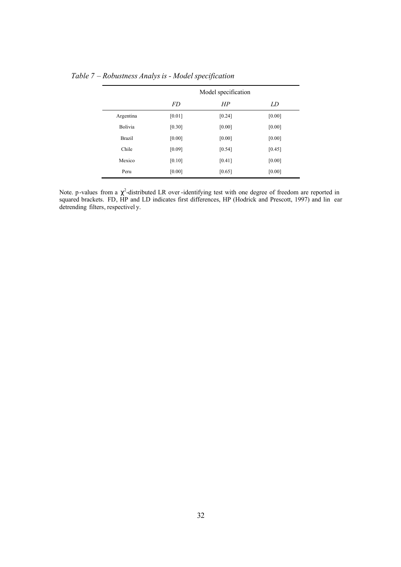|               | Model specification |        |        |  |  |  |
|---------------|---------------------|--------|--------|--|--|--|
|               | <i>FD</i>           | HP     | LD     |  |  |  |
| Argentina     | [0.01]              | [0.24] | [0.00] |  |  |  |
| Bolivia       | $[0.30]$            | [0.00] | [0.00] |  |  |  |
| <b>Brazil</b> | [0.00]              | [0.00] | [0.00] |  |  |  |
| Chile         | [0.09]              | [0.54] | [0.45] |  |  |  |
| Mexico        | [0.10]              | [0.41] | [0.00] |  |  |  |
| Peru          | [0.00]              | [0.65] | [0.00] |  |  |  |

*Table 7 – Robustness Analys is - Model specification*

Note. p-values from a  $\chi^2$ -distributed LR over-identifying test with one degree of freedom are reported in squared brackets. FD, HP and LD indicates first differences, HP (Hodrick and Prescott, 1997) and lin ear detrending filters, respectivel y.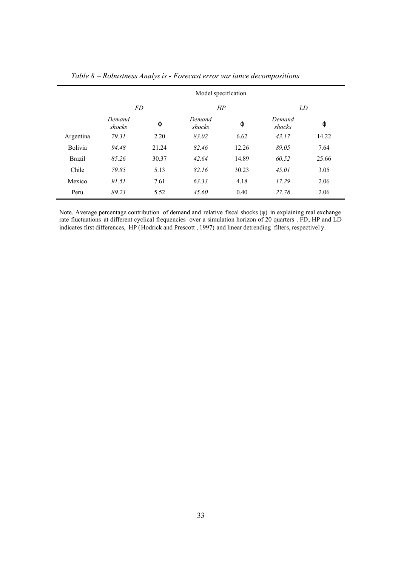|                | Model specification |       |                  |       |                  |       |  |  |
|----------------|---------------------|-------|------------------|-------|------------------|-------|--|--|
|                | <i>FD</i>           |       | HP               |       | LD               |       |  |  |
|                | Demand<br>shocks    | φ     | Demand<br>shocks | φ     | Demand<br>shocks | φ     |  |  |
| Argentina      | 79.31               | 2.20  | 83.02            | 6.62  | 43.17            | 14.22 |  |  |
| <b>Bolivia</b> | 94.48               | 21.24 | 82.46            | 12.26 | 89.05            | 7.64  |  |  |
| <b>Brazil</b>  | 85.26               | 30.37 | 42.64            | 14.89 | 60.52            | 25.66 |  |  |
| Chile          | 79.85               | 5.13  | 82.16            | 30.23 | 45.01            | 3.05  |  |  |
| Mexico         | 91.51               | 7.61  | 63.33            | 4.18  | 17.29            | 2.06  |  |  |
| Peru           | 89.23               | 5.52  | 45.60            | 0.40  | 27.78            | 2.06  |  |  |

*Table 8 – Robustness Analys is - Forecast error variance decompositions* 

Note. Average percentage contribution of demand and relative fiscal shocks (φ) in explaining real exchange rate fluctuations at different cyclical frequencies over a simulation horizon of 20 quarters . FD, HP and LD indicates first differences, HP (Hodrick and Prescott , 1997) and linear detrending filters, respectivel y.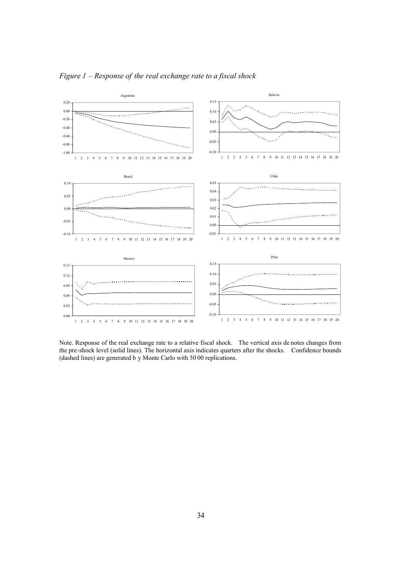

*Figure 1 – Response of the real exchange rate to a fiscal shock*

Note. Response of the real exchange rate to a relative fiscal shock. The vertical axis de notes changes from the pre-shock level (solid lines). The horizontal axis indicates quarters after the shocks. Confidence bounds (dashed lines) are generated b y Monte Carlo with 50 00 replications.